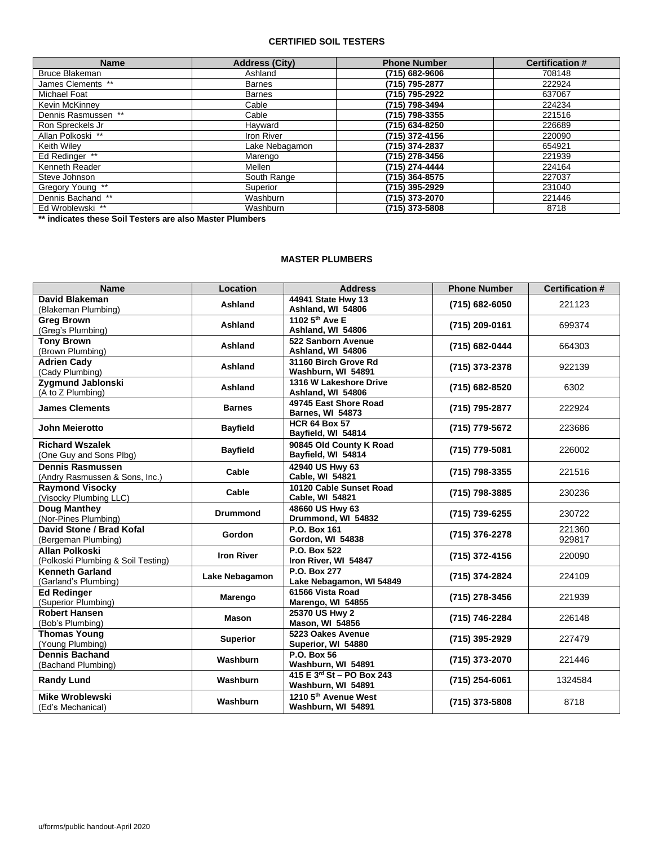### **CERTIFIED SOIL TESTERS**

| <b>Name</b>         | <b>Address (City)</b> | <b>Phone Number</b> | <b>Certification #</b> |
|---------------------|-----------------------|---------------------|------------------------|
| Bruce Blakeman      | Ashland               | (715) 682-9606      | 708148                 |
| James Clements **   | <b>Barnes</b>         | (715) 795-2877      | 222924                 |
| <b>Michael Foat</b> | Barnes                | (715) 795-2922      | 637067                 |
| Kevin McKinney      | Cable                 | (715) 798-3494      | 224234                 |
| Dennis Rasmussen ** | Cable                 | (715) 798-3355      | 221516                 |
| Ron Spreckels Jr    | Hayward               | (715) 634-8250      | 226689                 |
| Allan Polkoski **   | <b>Iron River</b>     | (715) 372-4156      | 220090                 |
| Keith Wilev         | Lake Nebagamon        | (715) 374-2837      | 654921                 |
| Ed Redinger **      | Marengo               | (715) 278-3456      | 221939                 |
| Kenneth Reader      | Mellen                | (715) 274-4444      | 224164                 |
| Steve Johnson       | South Range           | (715) 364-8575      | 227037                 |
| Gregory Young **    | Superior              | (715) 395-2929      | 231040                 |
| Dennis Bachand **   | Washburn              | (715) 373-2070      | 221446                 |
| Ed Wroblewski **    | Washburn              | (715) 373-5808      | 8718                   |

**\*\* indicates these Soil Testers are also Master Plumbers**

#### **MASTER PLUMBERS**

| <b>Name</b>                                                 | Location          | <b>Address</b>                                   | <b>Phone Number</b> | <b>Certification#</b> |
|-------------------------------------------------------------|-------------------|--------------------------------------------------|---------------------|-----------------------|
| David Blakeman<br>(Blakeman Plumbing)                       | Ashland           | 44941 State Hwy 13<br>Ashland, WI 54806          | (715) 682-6050      | 221123                |
| <b>Greg Brown</b><br>(Greg's Plumbing)                      | Ashland           | 1102 5 <sup>th</sup> Ave E<br>Ashland, WI 54806  | (715) 209-0161      | 699374                |
| <b>Tony Brown</b><br>(Brown Plumbing)                       | Ashland           | 522 Sanborn Avenue<br>Ashland, WI 54806          | (715) 682-0444      | 664303                |
| <b>Adrien Cady</b><br>(Cady Plumbing)                       | Ashland           | 31160 Birch Grove Rd<br>Washburn, WI 54891       | (715) 373-2378      | 922139                |
| Zygmund Jablonski<br>(A to Z Plumbing)                      | Ashland           | 1316 W Lakeshore Drive<br>Ashland, WI 54806      | (715) 682-8520      | 6302                  |
| <b>James Clements</b>                                       | <b>Barnes</b>     | 49745 East Shore Road<br><b>Barnes, WI 54873</b> | (715) 795-2877      | 222924                |
| John Meierotto                                              | <b>Bayfield</b>   | <b>HCR 64 Box 57</b><br>Bayfield, WI 54814       | (715) 779-5672      | 223686                |
| <b>Richard Wszalek</b><br>(One Guy and Sons Plbg)           | <b>Bayfield</b>   | 90845 Old County K Road<br>Bayfield, WI 54814    | (715) 779-5081      | 226002                |
| <b>Dennis Rasmussen</b><br>(Andry Rasmussen & Sons, Inc.)   | Cable             | 42940 US Hwy 63<br><b>Cable, WI 54821</b>        | (715) 798-3355      | 221516                |
| <b>Raymond Visocky</b><br>(Visocky Plumbing LLC)            | Cable             | 10120 Cable Sunset Road<br>Cable, WI 54821       | (715) 798-3885      | 230236                |
| <b>Doug Manthey</b><br>(Nor-Pines Plumbing)                 | <b>Drummond</b>   | 48660 US Hwy 63<br>Drummond, WI 54832            | (715) 739-6255      | 230722                |
| David Stone / Brad Kofal<br>(Bergeman Plumbing)             | <b>Gordon</b>     | P.O. Box 161<br>Gordon, WI 54838                 | (715) 376-2278      | 221360<br>929817      |
| <b>Allan Polkoski</b><br>(Polkoski Plumbing & Soil Testing) | <b>Iron River</b> | P.O. Box 522<br>Iron River, WI 54847             | (715) 372-4156      | 220090                |
| <b>Kenneth Garland</b><br>(Garland's Plumbing)              | Lake Nebagamon    | P.O. Box 277<br>Lake Nebagamon, WI 54849         | (715) 374-2824      | 224109                |
| <b>Ed Redinger</b><br>(Superior Plumbing)                   | Marengo           | 61566 Vista Road<br>Marengo, WI 54855            | (715) 278-3456      | 221939                |
| <b>Robert Hansen</b><br>(Bob's Plumbing)                    | <b>Mason</b>      | 25370 US Hwy 2<br><b>Mason, WI 54856</b>         | (715) 746-2284      | 226148                |
| <b>Thomas Young</b><br>(Young Plumbing)                     | <b>Superior</b>   | 5223 Oakes Avenue<br>Superior, WI 54880          | (715) 395-2929      | 227479                |
| <b>Dennis Bachand</b><br>(Bachand Plumbing)                 | Washburn          | <b>P.O. Box 56</b><br>Washburn, WI 54891         | (715) 373-2070      | 221446                |
| <b>Randy Lund</b>                                           | Washburn          | 415 E 3rd St - PO Box 243<br>Washburn, WI 54891  | $(715)$ 254-6061    | 1324584               |
| <b>Mike Wroblewski</b><br>(Ed's Mechanical)                 | Washburn          | 1210 5th Avenue West<br>Washburn, WI 54891       | (715) 373-5808      | 8718                  |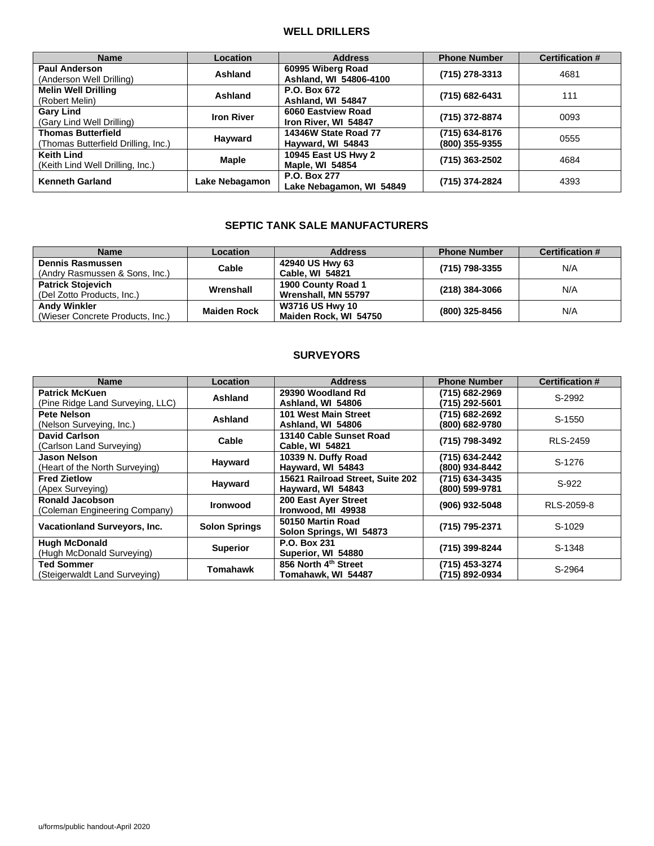### **WELL DRILLERS**

| <b>Name</b>                         | <b>Location</b>   | <b>Address</b>             | <b>Phone Number</b> | <b>Certification #</b> |
|-------------------------------------|-------------------|----------------------------|---------------------|------------------------|
| <b>Paul Anderson</b>                | Ashland           | 60995 Wiberg Road          | (715) 278-3313      | 4681                   |
| (Anderson Well Drilling)            |                   | Ashland, WI 54806-4100     |                     |                        |
| <b>Melin Well Drilling</b>          | Ashland           | P.O. Box 672               |                     | 111                    |
| (Robert Melin)                      |                   | Ashland, WI 54847          | (715) 682-6431      |                        |
| <b>Gary Lind</b>                    | <b>Iron River</b> | 6060 Eastview Road         | (715) 372-8874      | 0093                   |
| (Gary Lind Well Drilling)           |                   | Iron River, WI 54847       |                     |                        |
| <b>Thomas Butterfield</b>           |                   | 14346W State Road 77       | (715) 634-8176      | 0555                   |
| (Thomas Butterfield Drilling, Inc.) | Hayward           | Hayward, WI 54843          | (800) 355-9355      |                        |
| <b>Keith Lind</b>                   | Maple             | <b>10945 East US Hwy 2</b> |                     | 4684                   |
| (Keith Lind Well Drilling, Inc.)    |                   | Maple, WI 54854            | (715) 363-2502      |                        |
| <b>Kenneth Garland</b>              |                   | P.O. Box 277               |                     |                        |
|                                     | Lake Nebagamon    | Lake Nebagamon, WI 54849   | (715) 374-2824      | 4393                   |

# **SEPTIC TANK SALE MANUFACTURERS**

| <b>Name</b>                      | Location           | <b>Address</b>         | <b>Phone Number</b> | <b>Certification #</b> |
|----------------------------------|--------------------|------------------------|---------------------|------------------------|
| <b>Dennis Rasmussen</b>          | Cable              | 42940 US Hwy 63        | (715) 798-3355      | N/A                    |
| (Andry Rasmussen & Sons, Inc.)   |                    | <b>Cable, WI 54821</b> |                     |                        |
| <b>Patrick Stojevich</b>         | Wrenshall          | 1900 County Road 1     | (218) 384-3066      | N/A                    |
| (Del Zotto Products, Inc.)       |                    | Wrenshall, MN 55797    |                     |                        |
| <b>Andy Winkler</b>              | <b>Maiden Rock</b> | <b>W3716 US Hwy 10</b> | (800) 325-8456      | N/A                    |
| (Wieser Concrete Products, Inc.) |                    | Maiden Rock, WI 54750  |                     |                        |

## **SURVEYORS**

| <b>Name</b>                         | Location             | <b>Address</b>                   | <b>Phone Number</b> | <b>Certification #</b> |
|-------------------------------------|----------------------|----------------------------------|---------------------|------------------------|
| <b>Patrick McKuen</b>               | Ashland              | 29390 Woodland Rd                | (715) 682-2969      | S-2992                 |
| (Pine Ridge Land Surveying, LLC)    |                      | Ashland, WI 54806                | (715) 292-5601      |                        |
| Pete Nelson                         | Ashland              | 101 West Main Street             | (715) 682-2692      | S-1550                 |
| (Nelson Surveying, Inc.)            |                      | Ashland, WI 54806                | (800) 682-9780      |                        |
| David Carlson                       | Cable                | 13140 Cable Sunset Road          | (715) 798-3492      | <b>RLS-2459</b>        |
| (Carlson Land Surveying)            |                      | <b>Cable, WI 54821</b>           |                     |                        |
| Jason Nelson                        | Hayward              | 10339 N. Duffy Road              | (715) 634-2442      | S-1276                 |
| (Heart of the North Surveying)      |                      | Hayward, WI 54843                | (800) 934-8442      |                        |
| <b>Fred Zietlow</b>                 | Hayward              | 15621 Railroad Street, Suite 202 | (715) 634-3435      | S-922                  |
| (Apex Surveying)                    |                      | Hayward, WI 54843                | (800) 599-9781      |                        |
| Ronald Jacobson                     | <b>Ironwood</b>      | 200 East Ayer Street             | (906) 932-5048      | RLS-2059-8             |
| (Coleman Engineering Company)       |                      | Ironwood, MI 49938               |                     |                        |
| <b>Vacationland Surveyors, Inc.</b> | <b>Solon Springs</b> | 50150 Martin Road                | (715) 795-2371      | S-1029                 |
|                                     |                      | Solon Springs, WI 54873          |                     |                        |
| <b>Hugh McDonald</b>                | <b>Superior</b>      | P.O. Box 231                     | (715) 399-8244      | S-1348                 |
| (Hugh McDonald Surveying)           |                      | Superior, WI 54880               |                     |                        |
| <b>Ted Sommer</b>                   | Tomahawk             | 856 North 4th Street             | (715) 453-3274      | S-2964                 |
| (Steigerwaldt Land Surveying)       |                      | Tomahawk, WI 54487               | (715) 892-0934      |                        |